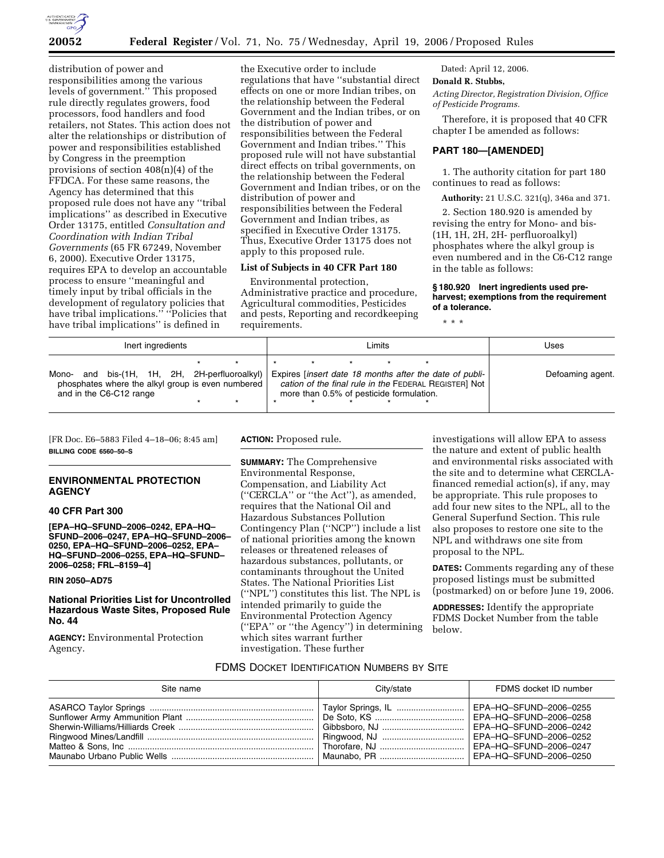

distribution of power and responsibilities among the various levels of government.'' This proposed rule directly regulates growers, food processors, food handlers and food retailers, not States. This action does not alter the relationships or distribution of power and responsibilities established by Congress in the preemption provisions of section 408(n)(4) of the FFDCA. For these same reasons, the Agency has determined that this proposed rule does not have any ''tribal implications'' as described in Executive Order 13175, entitled *Consultation and Coordination with Indian Tribal Governments* (65 FR 67249, November 6, 2000). Executive Order 13175, requires EPA to develop an accountable process to ensure ''meaningful and timely input by tribal officials in the development of regulatory policies that have tribal implications.'' ''Policies that have tribal implications'' is defined in

the Executive order to include regulations that have ''substantial direct effects on one or more Indian tribes, on the relationship between the Federal Government and the Indian tribes, or on the distribution of power and responsibilities between the Federal Government and Indian tribes.'' This proposed rule will not have substantial direct effects on tribal governments, on the relationship between the Federal Government and Indian tribes, or on the distribution of power and responsibilities between the Federal Government and Indian tribes, as specified in Executive Order 13175. Thus, Executive Order 13175 does not apply to this proposed rule.

#### **List of Subjects in 40 CFR Part 180**

Environmental protection, Administrative practice and procedure, Agricultural commodities, Pesticides and pests, Reporting and recordkeeping requirements.

Dated: April 12, 2006.

# **Donald R. Stubbs,**

*Acting Director, Registration Division, Office of Pesticide Programs.* 

Therefore, it is proposed that 40 CFR chapter I be amended as follows:

#### **PART 180—[AMENDED]**

1. The authority citation for part 180 continues to read as follows:

**Authority:** 21 U.S.C. 321(q), 346a and 371.

2. Section 180.920 is amended by revising the entry for Mono- and bis- (1H, 1H, 2H, 2H- perfluoroalkyl) phosphates where the alkyl group is even numbered and in the C6-C12 range in the table as follows:

**§ 180.920 Inert ingredients used preharvest; exemptions from the requirement of a tolerance.** 

\* \* \*

| Inert ingredients                                                                                                                | Limits                                                                                                                                                              | Uses             |
|----------------------------------------------------------------------------------------------------------------------------------|---------------------------------------------------------------------------------------------------------------------------------------------------------------------|------------------|
| and bis-(1H, 1H, 2H, 2H-perfluoroalkyl)<br>Mono-<br>phosphates where the alkyl group is even numbered<br>and in the C6-C12 range | Expires <i>linsert</i> date 18 months after the date of publi-<br>cation of the final rule in the FEDERAL REGISTER] Not<br>more than 0.5% of pesticide formulation. | Defoaming agent. |

[FR Doc. E6–5883 Filed 4–18–06; 8:45 am] **BILLING CODE 6560–50–S** 

### **ENVIRONMENTAL PROTECTION AGENCY**

#### **40 CFR Part 300**

**[EPA–HQ–SFUND–2006–0242, EPA–HQ– SFUND–2006–0247, EPA–HQ–SFUND–2006– 0250, EPA–HQ–SFUND–2006–0252, EPA– HQ–SFUND–2006–0255, EPA–HQ–SFUND– 2006–0258; FRL–8159–4]** 

### **RIN 2050–AD75**

# **National Priorities List for Uncontrolled Hazardous Waste Sites, Proposed Rule No. 44**

**AGENCY:** Environmental Protection Agency.

**ACTION:** Proposed rule.

**SUMMARY:** The Comprehensive Environmental Response, Compensation, and Liability Act (''CERCLA'' or ''the Act''), as amended, requires that the National Oil and Hazardous Substances Pollution Contingency Plan (''NCP'') include a list of national priorities among the known releases or threatened releases of hazardous substances, pollutants, or contaminants throughout the United States. The National Priorities List (''NPL'') constitutes this list. The NPL is intended primarily to guide the Environmental Protection Agency (''EPA'' or ''the Agency'') in determining which sites warrant further investigation. These further

investigations will allow EPA to assess the nature and extent of public health and environmental risks associated with the site and to determine what CERCLAfinanced remedial action(s), if any, may be appropriate. This rule proposes to add four new sites to the NPL, all to the General Superfund Section. This rule also proposes to restore one site to the NPL and withdraws one site from proposal to the NPL.

**DATES:** Comments regarding any of these proposed listings must be submitted (postmarked) on or before June 19, 2006.

**ADDRESSES:** Identify the appropriate FDMS Docket Number from the table below.

# FDMS DOCKET IDENTIFICATION NUMBERS BY SITE

| Site name                                                                                            | City/state | FDMS docket ID number |
|------------------------------------------------------------------------------------------------------|------------|-----------------------|
| Maunabo Urbano Public Wells ……………………………………………………   Maunabo. PR ………………………………   EPA–HQ–SFUND–2006–0250 |            |                       |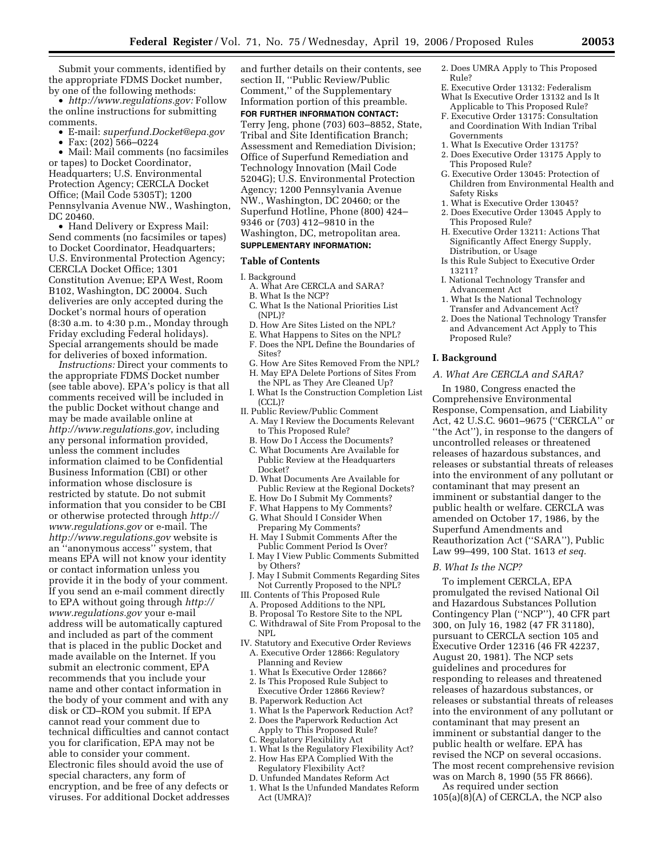Submit your comments, identified by the appropriate FDMS Docket number, by one of the following methods:

• *http://www.regulations.gov:* Follow the online instructions for submitting comments.

- E-mail: *superfund.Docket@epa.gov*
- Fax: (202) 566–0224

• Mail: Mail comments (no facsimiles or tapes) to Docket Coordinator, Headquarters; U.S. Environmental Protection Agency; CERCLA Docket Office; (Mail Code 5305T); 1200 Pennsylvania Avenue NW., Washington, DC 20460.

• Hand Delivery or Express Mail: Send comments (no facsimiles or tapes) to Docket Coordinator, Headquarters; U.S. Environmental Protection Agency; CERCLA Docket Office; 1301 Constitution Avenue; EPA West, Room B102, Washington, DC 20004. Such deliveries are only accepted during the Docket's normal hours of operation (8:30 a.m. to 4:30 p.m., Monday through Friday excluding Federal holidays). Special arrangements should be made for deliveries of boxed information.

*Instructions:* Direct your comments to the appropriate FDMS Docket number (see table above). EPA's policy is that all comments received will be included in the public Docket without change and may be made available online at *http://www.regulations.gov*, including any personal information provided, unless the comment includes information claimed to be Confidential Business Information (CBI) or other information whose disclosure is restricted by statute. Do not submit information that you consider to be CBI or otherwise protected through *http:// www.regulations.gov* or e-mail. The *http://www.regulations.gov* website is an ''anonymous access'' system, that means EPA will not know your identity or contact information unless you provide it in the body of your comment. If you send an e-mail comment directly to EPA without going through *http:// www.regulations.gov* your e-mail address will be automatically captured and included as part of the comment that is placed in the public Docket and made available on the Internet. If you submit an electronic comment, EPA recommends that you include your name and other contact information in the body of your comment and with any disk or CD–ROM you submit. If EPA cannot read your comment due to technical difficulties and cannot contact you for clarification, EPA may not be able to consider your comment. Electronic files should avoid the use of special characters, any form of encryption, and be free of any defects or viruses. For additional Docket addresses and further details on their contents, see section II, ''Public Review/Public Comment,'' of the Supplementary Information portion of this preamble.

**FOR FURTHER INFORMATION CONTACT:**  Terry Jeng, phone (703) 603–8852, State, Tribal and Site Identification Branch; Assessment and Remediation Division; Office of Superfund Remediation and Technology Innovation (Mail Code 5204G); U.S. Environmental Protection Agency; 1200 Pennsylvania Avenue NW., Washington, DC 20460; or the Superfund Hotline, Phone (800) 424– 9346 or (703) 412–9810 in the Washington, DC, metropolitan area.

# **SUPPLEMENTARY INFORMATION:**

### **Table of Contents**

I. Background

- A. What Are CERCLA and SARA?
- B. What Is the NCP?
- C. What Is the National Priorities List (NPL)?
- D. How Are Sites Listed on the NPL?
- E. What Happens to Sites on the NPL?
- F. Does the NPL Define the Boundaries of Sites?
- G. How Are Sites Removed From the NPL?
- H. May EPA Delete Portions of Sites From the NPL as They Are Cleaned Up?
- I. What Is the Construction Completion List
- (CCL)? II. Public Review/Public Comment
- A. May I Review the Documents Relevant to This Proposed Rule?
- B. How Do I Access the Documents? C. What Documents Are Available for
- Public Review at the Headquarters Docket?
- D. What Documents Are Available for Public Review at the Regional Dockets?
- E. How Do I Submit My Comments?
- F. What Happens to My Comments?
- G. What Should I Consider When Preparing My Comments?
- H. May I Submit Comments After the Public Comment Period Is Over?
- I. May I View Public Comments Submitted by Others?
- J. May I Submit Comments Regarding Sites Not Currently Proposed to the NPL?
- III. Contents of This Proposed Rule
- A. Proposed Additions to the NPL
- B. Proposal To Restore Site to the NPL C. Withdrawal of Site From Proposal to the NPL
- IV. Statutory and Executive Order Reviews A. Executive Order 12866: Regulatory Planning and Review
	- 1. What Is Executive Order 12866?
	- 2. Is This Proposed Rule Subject to Executive Order 12866 Review?
	- B. Paperwork Reduction Act
	- 1. What Is the Paperwork Reduction Act?
	- 2. Does the Paperwork Reduction Act Apply to This Proposed Rule?
	- C. Regulatory Flexibility Act
	- 1. What Is the Regulatory Flexibility Act?
	- 2. How Has EPA Complied With the
	- Regulatory Flexibility Act?
	- D. Unfunded Mandates Reform Act
	- 1. What Is the Unfunded Mandates Reform Act (UMRA)?
- 2. Does UMRA Apply to This Proposed Rule?
- E. Executive Order 13132: Federalism What Is Executive Order 13132 and Is It
- Applicable to This Proposed Rule?
- F. Executive Order 13175: Consultation and Coordination With Indian Tribal Governments
- 1. What Is Executive Order 13175?
- 2. Does Executive Order 13175 Apply to This Proposed Rule?
- G. Executive Order 13045: Protection of Children from Environmental Health and Safety Risks
- 1. What is Executive Order 13045?
- 2. Does Executive Order 13045 Apply to This Proposed Rule?
- H. Executive Order 13211: Actions That Significantly Affect Energy Supply, Distribution, or Usage
- Is this Rule Subject to Executive Order 13211?
- I. National Technology Transfer and Advancement Act
- 1. What Is the National Technology Transfer and Advancement Act?
- 2. Does the National Technology Transfer and Advancement Act Apply to This Proposed Rule?

### **I. Background**

*A. What Are CERCLA and SARA?* 

In 1980, Congress enacted the Comprehensive Environmental Response, Compensation, and Liability Act, 42 U.S.C. 9601–9675 (''CERCLA'' or ''the Act''), in response to the dangers of uncontrolled releases or threatened releases of hazardous substances, and releases or substantial threats of releases into the environment of any pollutant or contaminant that may present an imminent or substantial danger to the public health or welfare. CERCLA was amended on October 17, 1986, by the Superfund Amendments and Reauthorization Act (''SARA''), Public Law 99–499, 100 Stat. 1613 *et seq.* 

#### *B. What Is the NCP?*

To implement CERCLA, EPA promulgated the revised National Oil and Hazardous Substances Pollution Contingency Plan (''NCP''), 40 CFR part 300, on July 16, 1982 (47 FR 31180), pursuant to CERCLA section 105 and Executive Order 12316 (46 FR 42237, August 20, 1981). The NCP sets guidelines and procedures for responding to releases and threatened releases of hazardous substances, or releases or substantial threats of releases into the environment of any pollutant or contaminant that may present an imminent or substantial danger to the public health or welfare. EPA has revised the NCP on several occasions. The most recent comprehensive revision was on March 8, 1990 (55 FR 8666).

As required under section 105(a)(8)(A) of CERCLA, the NCP also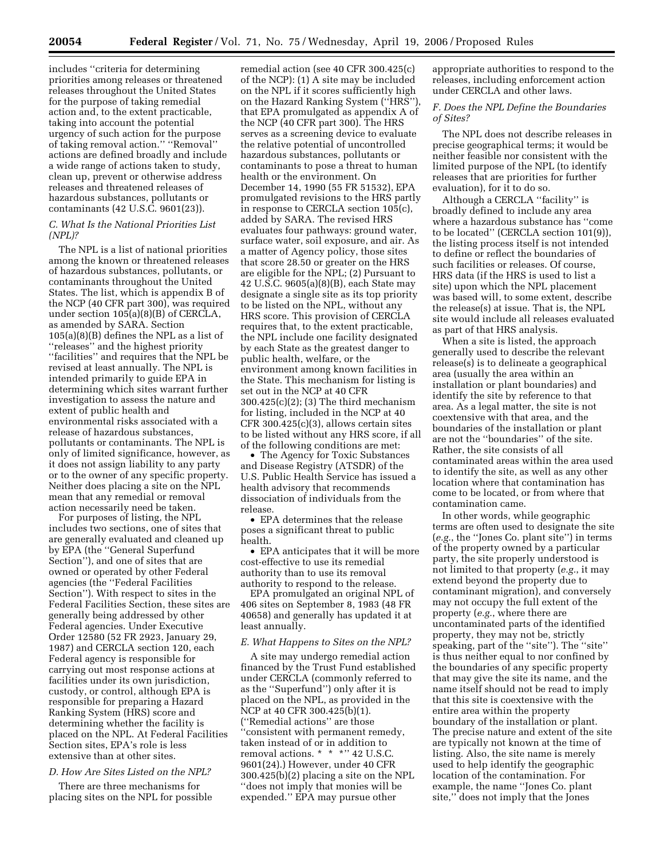includes ''criteria for determining priorities among releases or threatened releases throughout the United States for the purpose of taking remedial action and, to the extent practicable, taking into account the potential urgency of such action for the purpose of taking removal action.'' ''Removal'' actions are defined broadly and include a wide range of actions taken to study, clean up, prevent or otherwise address releases and threatened releases of hazardous substances, pollutants or contaminants (42 U.S.C. 9601(23)).

#### *C. What Is the National Priorities List (NPL)?*

The NPL is a list of national priorities among the known or threatened releases of hazardous substances, pollutants, or contaminants throughout the United States. The list, which is appendix B of the NCP (40 CFR part 300), was required under section 105(a)(8)(B) of CERCLA, as amended by SARA. Section 105(a)(8)(B) defines the NPL as a list of ''releases'' and the highest priority ''facilities'' and requires that the NPL be revised at least annually. The NPL is intended primarily to guide EPA in determining which sites warrant further investigation to assess the nature and extent of public health and environmental risks associated with a release of hazardous substances, pollutants or contaminants. The NPL is only of limited significance, however, as it does not assign liability to any party or to the owner of any specific property. Neither does placing a site on the NPL mean that any remedial or removal action necessarily need be taken.

For purposes of listing, the NPL includes two sections, one of sites that are generally evaluated and cleaned up by EPA (the ''General Superfund Section''), and one of sites that are owned or operated by other Federal agencies (the ''Federal Facilities Section''). With respect to sites in the Federal Facilities Section, these sites are generally being addressed by other Federal agencies. Under Executive Order 12580 (52 FR 2923, January 29, 1987) and CERCLA section 120, each Federal agency is responsible for carrying out most response actions at facilities under its own jurisdiction, custody, or control, although EPA is responsible for preparing a Hazard Ranking System (HRS) score and determining whether the facility is placed on the NPL. At Federal Facilities Section sites, EPA's role is less extensive than at other sites.

#### *D. How Are Sites Listed on the NPL?*

There are three mechanisms for placing sites on the NPL for possible

remedial action (see 40 CFR 300.425(c) of the NCP): (1) A site may be included on the NPL if it scores sufficiently high on the Hazard Ranking System (''HRS''), that EPA promulgated as appendix A of the NCP (40 CFR part 300). The HRS serves as a screening device to evaluate the relative potential of uncontrolled hazardous substances, pollutants or contaminants to pose a threat to human health or the environment. On December 14, 1990 (55 FR 51532), EPA promulgated revisions to the HRS partly in response to CERCLA section 105(c), added by SARA. The revised HRS evaluates four pathways: ground water, surface water, soil exposure, and air. As a matter of Agency policy, those sites that score 28.50 or greater on the HRS are eligible for the NPL; (2) Pursuant to 42 U.S.C. 9605(a)(8)(B), each State may designate a single site as its top priority to be listed on the NPL, without any HRS score. This provision of CERCLA requires that, to the extent practicable, the NPL include one facility designated by each State as the greatest danger to public health, welfare, or the environment among known facilities in the State. This mechanism for listing is set out in the NCP at 40 CFR 300.425(c)(2); (3) The third mechanism for listing, included in the NCP at 40 CFR 300.425(c)(3), allows certain sites to be listed without any HRS score, if all of the following conditions are met:

• The Agency for Toxic Substances and Disease Registry (ATSDR) of the U.S. Public Health Service has issued a health advisory that recommends dissociation of individuals from the release.

• EPA determines that the release poses a significant threat to public health.

• EPA anticipates that it will be more cost-effective to use its remedial authority than to use its removal authority to respond to the release.

EPA promulgated an original NPL of 406 sites on September 8, 1983 (48 FR 40658) and generally has updated it at least annually.

#### *E. What Happens to Sites on the NPL?*

A site may undergo remedial action financed by the Trust Fund established under CERCLA (commonly referred to as the ''Superfund'') only after it is placed on the NPL, as provided in the NCP at 40 CFR 300.425(b)(1). (''Remedial actions'' are those ''consistent with permanent remedy, taken instead of or in addition to removal actions. \* \* \* \* 2 U.S.C. 9601(24).) However, under 40 CFR 300.425(b)(2) placing a site on the NPL ''does not imply that monies will be expended.'' EPA may pursue other

appropriate authorities to respond to the releases, including enforcement action under CERCLA and other laws.

### *F. Does the NPL Define the Boundaries of Sites?*

The NPL does not describe releases in precise geographical terms; it would be neither feasible nor consistent with the limited purpose of the NPL (to identify releases that are priorities for further evaluation), for it to do so.

Although a CERCLA ''facility'' is broadly defined to include any area where a hazardous substance has ''come to be located'' (CERCLA section 101(9)), the listing process itself is not intended to define or reflect the boundaries of such facilities or releases. Of course, HRS data (if the HRS is used to list a site) upon which the NPL placement was based will, to some extent, describe the release(s) at issue. That is, the NPL site would include all releases evaluated as part of that HRS analysis.

When a site is listed, the approach generally used to describe the relevant release(s) is to delineate a geographical area (usually the area within an installation or plant boundaries) and identify the site by reference to that area. As a legal matter, the site is not coextensive with that area, and the boundaries of the installation or plant are not the ''boundaries'' of the site. Rather, the site consists of all contaminated areas within the area used to identify the site, as well as any other location where that contamination has come to be located, or from where that contamination came.

In other words, while geographic terms are often used to designate the site (*e.g.*, the ''Jones Co. plant site'') in terms of the property owned by a particular party, the site properly understood is not limited to that property (*e.g.*, it may extend beyond the property due to contaminant migration), and conversely may not occupy the full extent of the property (*e.g.*, where there are uncontaminated parts of the identified property, they may not be, strictly speaking, part of the ''site''). The ''site'' is thus neither equal to nor confined by the boundaries of any specific property that may give the site its name, and the name itself should not be read to imply that this site is coextensive with the entire area within the property boundary of the installation or plant. The precise nature and extent of the site are typically not known at the time of listing. Also, the site name is merely used to help identify the geographic location of the contamination. For example, the name ''Jones Co. plant site,'' does not imply that the Jones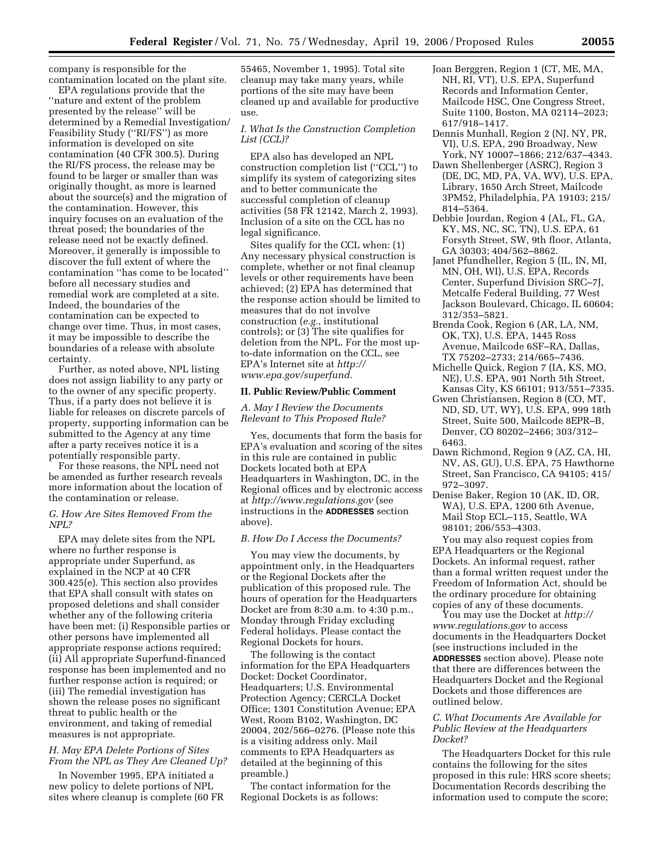company is responsible for the contamination located on the plant site.

EPA regulations provide that the ''nature and extent of the problem presented by the release'' will be determined by a Remedial Investigation/ Feasibility Study (''RI/FS'') as more information is developed on site contamination (40 CFR 300.5). During the RI/FS process, the release may be found to be larger or smaller than was originally thought, as more is learned about the source(s) and the migration of the contamination. However, this inquiry focuses on an evaluation of the threat posed; the boundaries of the release need not be exactly defined. Moreover, it generally is impossible to discover the full extent of where the contamination ''has come to be located'' before all necessary studies and remedial work are completed at a site. Indeed, the boundaries of the contamination can be expected to change over time. Thus, in most cases, it may be impossible to describe the boundaries of a release with absolute certainty.

Further, as noted above, NPL listing does not assign liability to any party or to the owner of any specific property. Thus, if a party does not believe it is liable for releases on discrete parcels of property, supporting information can be submitted to the Agency at any time after a party receives notice it is a potentially responsible party.

For these reasons, the NPL need not be amended as further research reveals more information about the location of the contamination or release.

#### *G. How Are Sites Removed From the NPL?*

EPA may delete sites from the NPL where no further response is appropriate under Superfund, as explained in the NCP at 40 CFR 300.425(e). This section also provides that EPA shall consult with states on proposed deletions and shall consider whether any of the following criteria have been met: (i) Responsible parties or other persons have implemented all appropriate response actions required; (ii) All appropriate Superfund-financed response has been implemented and no further response action is required; or (iii) The remedial investigation has shown the release poses no significant threat to public health or the environment, and taking of remedial measures is not appropriate.

# *H. May EPA Delete Portions of Sites From the NPL as They Are Cleaned Up?*

In November 1995, EPA initiated a new policy to delete portions of NPL sites where cleanup is complete (60 FR 55465, November 1, 1995). Total site cleanup may take many years, while portions of the site may have been cleaned up and available for productive use.

### *I. What Is the Construction Completion List (CCL)?*

EPA also has developed an NPL construction completion list (''CCL'') to simplify its system of categorizing sites and to better communicate the successful completion of cleanup activities (58 FR 12142, March 2, 1993). Inclusion of a site on the CCL has no legal significance.

Sites qualify for the CCL when: (1) Any necessary physical construction is complete, whether or not final cleanup levels or other requirements have been achieved; (2) EPA has determined that the response action should be limited to measures that do not involve construction (*e.g.*, institutional controls); or (3) The site qualifies for deletion from the NPL. For the most upto-date information on the CCL, see EPA's Internet site at *http:// www.epa.gov/superfund*.

# **II. Public Review/Public Comment**

### *A. May I Review the Documents Relevant to This Proposed Rule?*

Yes, documents that form the basis for EPA's evaluation and scoring of the sites in this rule are contained in public Dockets located both at EPA Headquarters in Washington, DC, in the Regional offices and by electronic access at *http://www.regulations.gov* (see instructions in the **ADDRESSES** section above).

#### *B. How Do I Access the Documents?*

You may view the documents, by appointment only, in the Headquarters or the Regional Dockets after the publication of this proposed rule. The hours of operation for the Headquarters Docket are from 8:30 a.m. to 4:30 p.m., Monday through Friday excluding Federal holidays. Please contact the Regional Dockets for hours.

The following is the contact information for the EPA Headquarters Docket: Docket Coordinator, Headquarters; U.S. Environmental Protection Agency; CERCLA Docket Office; 1301 Constitution Avenue; EPA West, Room B102, Washington, DC 20004, 202/566–0276. (Please note this is a visiting address only. Mail comments to EPA Headquarters as detailed at the beginning of this preamble.)

The contact information for the Regional Dockets is as follows:

- Joan Berggren, Region 1 (CT, ME, MA, NH, RI, VT), U.S. EPA, Superfund Records and Information Center, Mailcode HSC, One Congress Street, Suite 1100, Boston, MA 02114–2023; 617/918–1417.
- Dennis Munhall, Region 2 (NJ, NY, PR, VI), U.S. EPA, 290 Broadway, New York, NY 10007–1866; 212/637–4343.
- Dawn Shellenberger (ASRC), Region 3 (DE, DC, MD, PA, VA, WV), U.S. EPA, Library, 1650 Arch Street, Mailcode 3PM52, Philadelphia, PA 19103; 215/ 814–5364.
- Debbie Jourdan, Region 4 (AL, FL, GA, KY, MS, NC, SC, TN), U.S. EPA, 61 Forsyth Street, SW, 9th floor, Atlanta, GA 30303; 404/562–8862.
- Janet Pfundheller, Region 5 (IL, IN, MI, MN, OH, WI), U.S. EPA, Records Center, Superfund Division SRC–7J, Metcalfe Federal Building, 77 West Jackson Boulevard, Chicago, IL 60604; 312/353–5821.
- Brenda Cook, Region 6 (AR, LA, NM, OK, TX), U.S. EPA, 1445 Ross Avenue, Mailcode 6SF–RA, Dallas, TX 75202–2733; 214/665–7436.
- Michelle Quick, Region 7 (IA, KS, MO, NE), U.S. EPA, 901 North 5th Street, Kansas City, KS 66101; 913/551–7335.
- Gwen Christiansen, Region 8 (CO, MT, ND, SD, UT, WY), U.S. EPA, 999 18th Street, Suite 500, Mailcode 8EPR–B, Denver, CO 80202–2466; 303/312– 6463.
- Dawn Richmond, Region 9 (AZ, CA, HI, NV, AS, GU), U.S. EPA, 75 Hawthorne Street, San Francisco, CA 94105; 415/ 972–3097.
- Denise Baker, Region 10 (AK, ID, OR, WA), U.S. EPA, 1200 6th Avenue, Mail Stop ECL–115, Seattle, WA 98101; 206/553–4303.

You may also request copies from EPA Headquarters or the Regional Dockets. An informal request, rather than a formal written request under the Freedom of Information Act, should be the ordinary procedure for obtaining copies of any of these documents.

You may use the Docket at *http:// www.regulations.gov* to access documents in the Headquarters Docket (see instructions included in the **ADDRESSES** section above). Please note that there are differences between the Headquarters Docket and the Regional Dockets and those differences are outlined below.

### *C. What Documents Are Available for Public Review at the Headquarters Docket?*

The Headquarters Docket for this rule contains the following for the sites proposed in this rule: HRS score sheets; Documentation Records describing the information used to compute the score;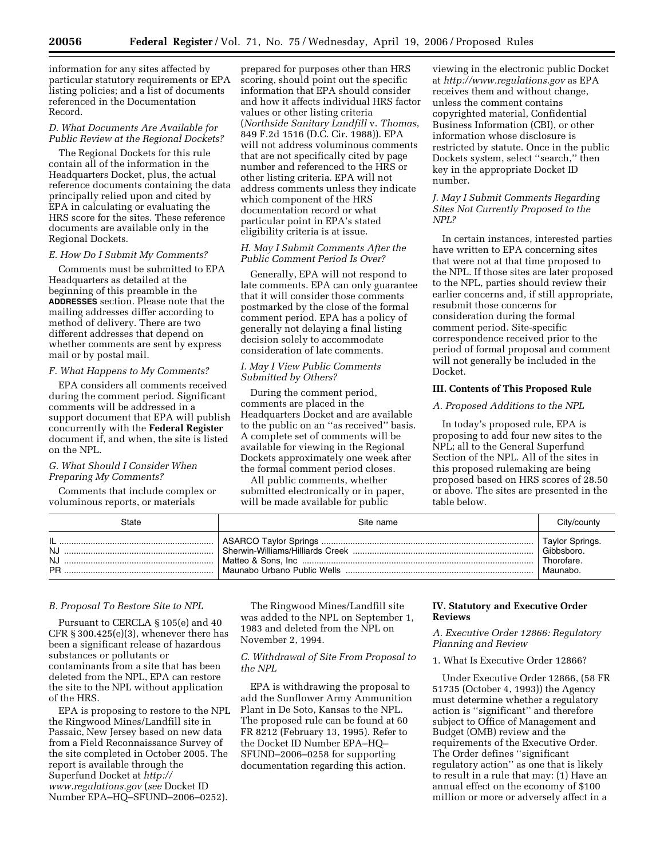information for any sites affected by particular statutory requirements or EPA listing policies; and a list of documents referenced in the Documentation Record.

#### *D. What Documents Are Available for Public Review at the Regional Dockets?*

The Regional Dockets for this rule contain all of the information in the Headquarters Docket, plus, the actual reference documents containing the data principally relied upon and cited by EPA in calculating or evaluating the HRS score for the sites. These reference documents are available only in the Regional Dockets.

### *E. How Do I Submit My Comments?*

Comments must be submitted to EPA Headquarters as detailed at the beginning of this preamble in the **ADDRESSES** section. Please note that the mailing addresses differ according to method of delivery. There are two different addresses that depend on whether comments are sent by express mail or by postal mail.

#### *F. What Happens to My Comments?*

EPA considers all comments received during the comment period. Significant comments will be addressed in a support document that EPA will publish concurrently with the **Federal Register**  document if, and when, the site is listed on the NPL.

# *G. What Should I Consider When Preparing My Comments?*

Comments that include complex or voluminous reports, or materials

prepared for purposes other than HRS scoring, should point out the specific information that EPA should consider and how it affects individual HRS factor values or other listing criteria (*Northside Sanitary Landfill* v. *Thomas*, 849 F.2d 1516 (D.C. Cir. 1988)). EPA will not address voluminous comments that are not specifically cited by page number and referenced to the HRS or other listing criteria. EPA will not address comments unless they indicate which component of the HRS documentation record or what particular point in EPA's stated eligibility criteria is at issue.

### *H. May I Submit Comments After the Public Comment Period Is Over?*

Generally, EPA will not respond to late comments. EPA can only guarantee that it will consider those comments postmarked by the close of the formal comment period. EPA has a policy of generally not delaying a final listing decision solely to accommodate consideration of late comments.

### *I. May I View Public Comments Submitted by Others?*

During the comment period, comments are placed in the Headquarters Docket and are available to the public on an ''as received'' basis. A complete set of comments will be available for viewing in the Regional Dockets approximately one week after the formal comment period closes.

All public comments, whether submitted electronically or in paper, will be made available for public

viewing in the electronic public Docket at *http://www.regulations.gov* as EPA receives them and without change, unless the comment contains copyrighted material, Confidential Business Information (CBI), or other information whose disclosure is restricted by statute. Once in the public Dockets system, select ''search,'' then key in the appropriate Docket ID number.

### *J. May I Submit Comments Regarding Sites Not Currently Proposed to the NPL?*

In certain instances, interested parties have written to EPA concerning sites that were not at that time proposed to the NPL. If those sites are later proposed to the NPL, parties should review their earlier concerns and, if still appropriate, resubmit those concerns for consideration during the formal comment period. Site-specific correspondence received prior to the period of formal proposal and comment will not generally be included in the Docket.

### **III. Contents of This Proposed Rule**

#### *A. Proposed Additions to the NPL*

In today's proposed rule, EPA is proposing to add four new sites to the NPL; all to the General Superfund Section of the NPL. All of the sites in this proposed rulemaking are being proposed based on HRS scores of 28.50 or above. The sites are presented in the table below.

| 3tate                                                                                                                                                                                                                                                                                                                                                                                                                                                                                                                              | Site name | Jitv/countv                                             |
|------------------------------------------------------------------------------------------------------------------------------------------------------------------------------------------------------------------------------------------------------------------------------------------------------------------------------------------------------------------------------------------------------------------------------------------------------------------------------------------------------------------------------------|-----------|---------------------------------------------------------|
| IL<br><b>NJ</b><br>NJ.<br><b>PR</b><br>$\begin{minipage}{.4\linewidth} \begin{tabular}{l} \hline \multicolumn{3}{l}{} & \multicolumn{3}{l}{} & \multicolumn{3}{l}{} \\ \multicolumn{3}{l}{} & \multicolumn{3}{l}{} & \multicolumn{3}{l}{} \\ \multicolumn{3}{l}{} & \multicolumn{3}{l}{} & \multicolumn{3}{l}{} \\ \multicolumn{3}{l}{} & \multicolumn{3}{l}{} & \multicolumn{3}{l}{} \\ \multicolumn{3}{l}{} & \multicolumn{3}{l}{} & \multicolumn{3}{l}{} \\ \multicolumn{3}{l}{} & \multicolumn{3}{l}{} & \multicolumn{3}{l}{}$ |           | Taylor Springs.<br>Gibbsboro.<br>Thorofare.<br>Maunabo. |

# *B. Proposal To Restore Site to NPL*

Pursuant to CERCLA § 105(e) and 40 CFR § 300.425(e)(3), whenever there has been a significant release of hazardous substances or pollutants or contaminants from a site that has been deleted from the NPL, EPA can restore the site to the NPL without application of the HRS.

EPA is proposing to restore to the NPL the Ringwood Mines/Landfill site in Passaic, New Jersey based on new data from a Field Reconnaissance Survey of the site completed in October 2005. The report is available through the Superfund Docket at *http:// www.regulations.gov* (*see* Docket ID Number EPA–HQ–SFUND–2006–0252).

The Ringwood Mines/Landfill site was added to the NPL on September 1, 1983 and deleted from the NPL on November 2, 1994.

### *C. Withdrawal of Site From Proposal to the NPL*

EPA is withdrawing the proposal to add the Sunflower Army Ammunition Plant in De Soto, Kansas to the NPL. The proposed rule can be found at 60 FR 8212 (February 13, 1995). Refer to the Docket ID Number EPA–HQ– SFUND–2006–0258 for supporting documentation regarding this action.

# **IV. Statutory and Executive Order Reviews**

### *A. Executive Order 12866: Regulatory Planning and Review*

### 1. What Is Executive Order 12866?

Under Executive Order 12866, (58 FR 51735 (October 4, 1993)) the Agency must determine whether a regulatory action is ''significant'' and therefore subject to Office of Management and Budget (OMB) review and the requirements of the Executive Order. The Order defines ''significant regulatory action" as one that is likely to result in a rule that may: (1) Have an annual effect on the economy of \$100 million or more or adversely affect in a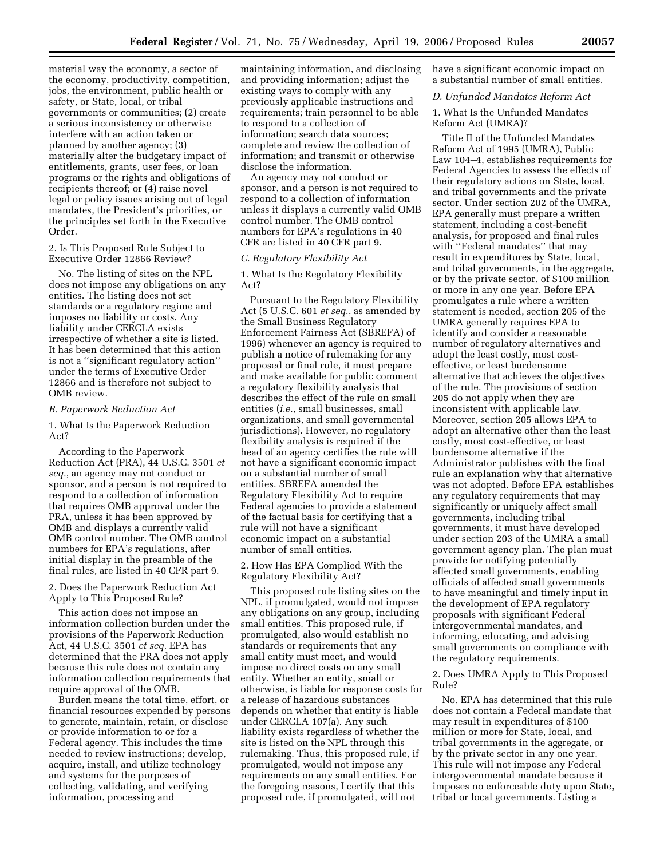material way the economy, a sector of the economy, productivity, competition, jobs, the environment, public health or safety, or State, local, or tribal governments or communities; (2) create a serious inconsistency or otherwise interfere with an action taken or planned by another agency; (3) materially alter the budgetary impact of entitlements, grants, user fees, or loan programs or the rights and obligations of recipients thereof; or (4) raise novel legal or policy issues arising out of legal mandates, the President's priorities, or the principles set forth in the Executive Order.

2. Is This Proposed Rule Subject to Executive Order 12866 Review?

No. The listing of sites on the NPL does not impose any obligations on any entities. The listing does not set standards or a regulatory regime and imposes no liability or costs. Any liability under CERCLA exists irrespective of whether a site is listed. It has been determined that this action is not a ''significant regulatory action'' under the terms of Executive Order 12866 and is therefore not subject to OMB review.

#### *B. Paperwork Reduction Act*

1. What Is the Paperwork Reduction Act?

According to the Paperwork Reduction Act (PRA), 44 U.S.C. 3501 *et seq.*, an agency may not conduct or sponsor, and a person is not required to respond to a collection of information that requires OMB approval under the PRA, unless it has been approved by OMB and displays a currently valid OMB control number. The OMB control numbers for EPA's regulations, after initial display in the preamble of the final rules, are listed in 40 CFR part 9.

2. Does the Paperwork Reduction Act Apply to This Proposed Rule?

This action does not impose an information collection burden under the provisions of the Paperwork Reduction Act, 44 U.S.C. 3501 *et seq.* EPA has determined that the PRA does not apply because this rule does not contain any information collection requirements that require approval of the OMB.

Burden means the total time, effort, or financial resources expended by persons to generate, maintain, retain, or disclose or provide information to or for a Federal agency. This includes the time needed to review instructions; develop, acquire, install, and utilize technology and systems for the purposes of collecting, validating, and verifying information, processing and

maintaining information, and disclosing and providing information; adjust the existing ways to comply with any previously applicable instructions and requirements; train personnel to be able to respond to a collection of information; search data sources; complete and review the collection of information; and transmit or otherwise disclose the information.

An agency may not conduct or sponsor, and a person is not required to respond to a collection of information unless it displays a currently valid OMB control number. The OMB control numbers for EPA's regulations in 40 CFR are listed in 40 CFR part 9.

#### *C. Regulatory Flexibility Act*

1. What Is the Regulatory Flexibility Act?

Pursuant to the Regulatory Flexibility Act (5 U.S.C. 601 *et seq.*, as amended by the Small Business Regulatory Enforcement Fairness Act (SBREFA) of 1996) whenever an agency is required to publish a notice of rulemaking for any proposed or final rule, it must prepare and make available for public comment a regulatory flexibility analysis that describes the effect of the rule on small entities (*i.e.*, small businesses, small organizations, and small governmental jurisdictions). However, no regulatory flexibility analysis is required if the head of an agency certifies the rule will not have a significant economic impact on a substantial number of small entities. SBREFA amended the Regulatory Flexibility Act to require Federal agencies to provide a statement of the factual basis for certifying that a rule will not have a significant economic impact on a substantial number of small entities.

2. How Has EPA Complied With the Regulatory Flexibility Act?

This proposed rule listing sites on the NPL, if promulgated, would not impose any obligations on any group, including small entities. This proposed rule, if promulgated, also would establish no standards or requirements that any small entity must meet, and would impose no direct costs on any small entity. Whether an entity, small or otherwise, is liable for response costs for a release of hazardous substances depends on whether that entity is liable under CERCLA 107(a). Any such liability exists regardless of whether the site is listed on the NPL through this rulemaking. Thus, this proposed rule, if promulgated, would not impose any requirements on any small entities. For the foregoing reasons, I certify that this proposed rule, if promulgated, will not

have a significant economic impact on a substantial number of small entities.

#### *D. Unfunded Mandates Reform Act*

1. What Is the Unfunded Mandates Reform Act (UMRA)?

Title II of the Unfunded Mandates Reform Act of 1995 (UMRA), Public Law 104–4, establishes requirements for Federal Agencies to assess the effects of their regulatory actions on State, local, and tribal governments and the private sector. Under section 202 of the UMRA, EPA generally must prepare a written statement, including a cost-benefit analysis, for proposed and final rules with ''Federal mandates'' that may result in expenditures by State, local, and tribal governments, in the aggregate, or by the private sector, of \$100 million or more in any one year. Before EPA promulgates a rule where a written statement is needed, section 205 of the UMRA generally requires EPA to identify and consider a reasonable number of regulatory alternatives and adopt the least costly, most costeffective, or least burdensome alternative that achieves the objectives of the rule. The provisions of section 205 do not apply when they are inconsistent with applicable law. Moreover, section 205 allows EPA to adopt an alternative other than the least costly, most cost-effective, or least burdensome alternative if the Administrator publishes with the final rule an explanation why that alternative was not adopted. Before EPA establishes any regulatory requirements that may significantly or uniquely affect small governments, including tribal governments, it must have developed under section 203 of the UMRA a small government agency plan. The plan must provide for notifying potentially affected small governments, enabling officials of affected small governments to have meaningful and timely input in the development of EPA regulatory proposals with significant Federal intergovernmental mandates, and informing, educating, and advising small governments on compliance with the regulatory requirements.

2. Does UMRA Apply to This Proposed Rule?

No, EPA has determined that this rule does not contain a Federal mandate that may result in expenditures of \$100 million or more for State, local, and tribal governments in the aggregate, or by the private sector in any one year. This rule will not impose any Federal intergovernmental mandate because it imposes no enforceable duty upon State, tribal or local governments. Listing a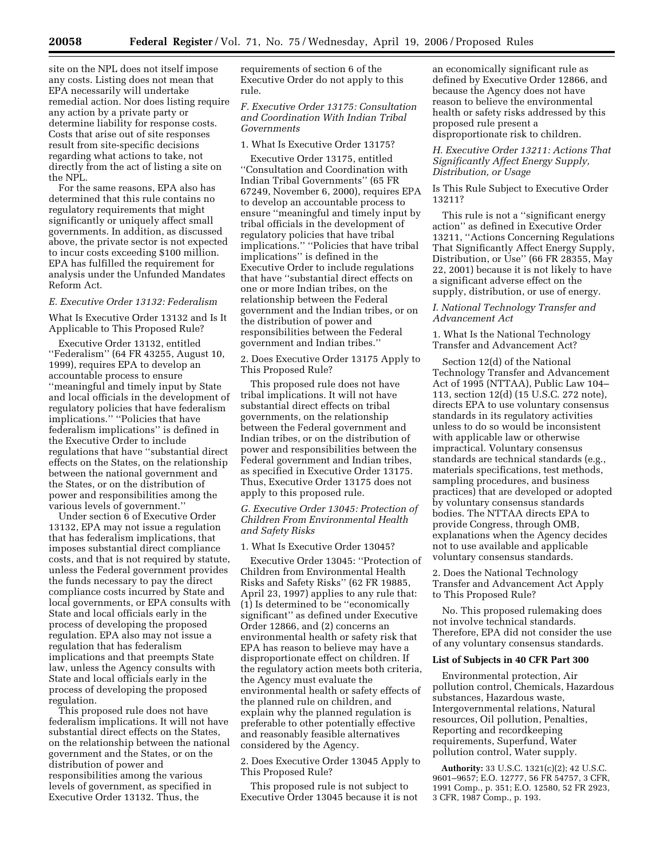site on the NPL does not itself impose any costs. Listing does not mean that EPA necessarily will undertake remedial action. Nor does listing require any action by a private party or determine liability for response costs. Costs that arise out of site responses result from site-specific decisions regarding what actions to take, not directly from the act of listing a site on the NPL.

For the same reasons, EPA also has determined that this rule contains no regulatory requirements that might significantly or uniquely affect small governments. In addition, as discussed above, the private sector is not expected to incur costs exceeding \$100 million. EPA has fulfilled the requirement for analysis under the Unfunded Mandates Reform Act.

## *E. Executive Order 13132: Federalism*

What Is Executive Order 13132 and Is It Applicable to This Proposed Rule?

Executive Order 13132, entitled ''Federalism'' (64 FR 43255, August 10, 1999), requires EPA to develop an accountable process to ensure ''meaningful and timely input by State and local officials in the development of regulatory policies that have federalism implications.'' ''Policies that have federalism implications'' is defined in the Executive Order to include regulations that have ''substantial direct effects on the States, on the relationship between the national government and the States, or on the distribution of power and responsibilities among the various levels of government.''

Under section 6 of Executive Order 13132, EPA may not issue a regulation that has federalism implications, that imposes substantial direct compliance costs, and that is not required by statute, unless the Federal government provides the funds necessary to pay the direct compliance costs incurred by State and local governments, or EPA consults with State and local officials early in the process of developing the proposed regulation. EPA also may not issue a regulation that has federalism implications and that preempts State law, unless the Agency consults with State and local officials early in the process of developing the proposed regulation.

This proposed rule does not have federalism implications. It will not have substantial direct effects on the States, on the relationship between the national government and the States, or on the distribution of power and responsibilities among the various levels of government, as specified in Executive Order 13132. Thus, the

requirements of section 6 of the Executive Order do not apply to this rule.

### *F. Executive Order 13175: Consultation and Coordination With Indian Tribal Governments*

#### 1. What Is Executive Order 13175?

Executive Order 13175, entitled ''Consultation and Coordination with Indian Tribal Governments'' (65 FR 67249, November 6, 2000), requires EPA to develop an accountable process to ensure ''meaningful and timely input by tribal officials in the development of regulatory policies that have tribal implications.'' ''Policies that have tribal implications'' is defined in the Executive Order to include regulations that have ''substantial direct effects on one or more Indian tribes, on the relationship between the Federal government and the Indian tribes, or on the distribution of power and responsibilities between the Federal government and Indian tribes.''

2. Does Executive Order 13175 Apply to This Proposed Rule?

This proposed rule does not have tribal implications. It will not have substantial direct effects on tribal governments, on the relationship between the Federal government and Indian tribes, or on the distribution of power and responsibilities between the Federal government and Indian tribes, as specified in Executive Order 13175. Thus, Executive Order 13175 does not apply to this proposed rule.

*G. Executive Order 13045: Protection of Children From Environmental Health and Safety Risks* 

#### 1. What Is Executive Order 13045?

Executive Order 13045: ''Protection of Children from Environmental Health Risks and Safety Risks'' (62 FR 19885, April 23, 1997) applies to any rule that: (1) Is determined to be ''economically significant'' as defined under Executive Order 12866, and (2) concerns an environmental health or safety risk that EPA has reason to believe may have a disproportionate effect on children. If the regulatory action meets both criteria, the Agency must evaluate the environmental health or safety effects of the planned rule on children, and explain why the planned regulation is preferable to other potentially effective and reasonably feasible alternatives considered by the Agency.

2. Does Executive Order 13045 Apply to This Proposed Rule?

This proposed rule is not subject to Executive Order 13045 because it is not an economically significant rule as defined by Executive Order 12866, and because the Agency does not have reason to believe the environmental health or safety risks addressed by this proposed rule present a disproportionate risk to children.

*H. Executive Order 13211: Actions That Significantly Affect Energy Supply, Distribution, or Usage* 

Is This Rule Subject to Executive Order 13211?

This rule is not a ''significant energy action'' as defined in Executive Order 13211, ''Actions Concerning Regulations That Significantly Affect Energy Supply, Distribution, or Use'' (66 FR 28355, May 22, 2001) because it is not likely to have a significant adverse effect on the supply, distribution, or use of energy.

*I. National Technology Transfer and Advancement Act* 

1. What Is the National Technology Transfer and Advancement Act?

Section 12(d) of the National Technology Transfer and Advancement Act of 1995 (NTTAA), Public Law 104– 113, section 12(d) (15 U.S.C. 272 note), directs EPA to use voluntary consensus standards in its regulatory activities unless to do so would be inconsistent with applicable law or otherwise impractical. Voluntary consensus standards are technical standards (e.g., materials specifications, test methods, sampling procedures, and business practices) that are developed or adopted by voluntary consensus standards bodies. The NTTAA directs EPA to provide Congress, through OMB, explanations when the Agency decides not to use available and applicable voluntary consensus standards.

2. Does the National Technology Transfer and Advancement Act Apply to This Proposed Rule?

No. This proposed rulemaking does not involve technical standards. Therefore, EPA did not consider the use of any voluntary consensus standards.

### **List of Subjects in 40 CFR Part 300**

Environmental protection, Air pollution control, Chemicals, Hazardous substances, Hazardous waste, Intergovernmental relations, Natural resources, Oil pollution, Penalties, Reporting and recordkeeping requirements, Superfund, Water pollution control, Water supply.

**Authority:** 33 U.S.C. 1321(c)(2); 42 U.S.C. 9601–9657; E.O. 12777, 56 FR 54757, 3 CFR, 1991 Comp., p. 351; E.O. 12580, 52 FR 2923, 3 CFR, 1987 Comp., p. 193.